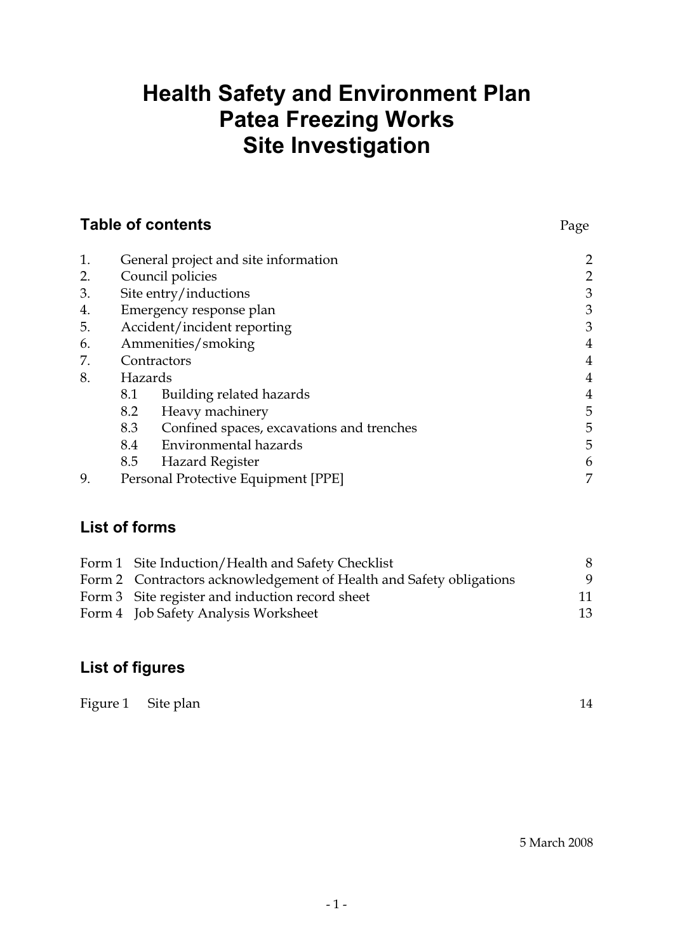# **Health Safety and Environment Plan Patea Freezing Works Site Investigation**

| <b>Table of contents</b> |         |                                           | Page           |
|--------------------------|---------|-------------------------------------------|----------------|
| 1.                       |         | General project and site information      | $\overline{c}$ |
| 2.                       |         | Council policies                          | $\overline{c}$ |
| 3.                       |         | Site entry/inductions                     | $\mathfrak{Z}$ |
| 4.                       |         | Emergency response plan                   | 3              |
| 5.                       |         | Accident/incident reporting               | 3              |
| 6.                       |         | Ammenities/smoking                        | $\overline{4}$ |
| 7.                       |         | Contractors                               | $\overline{4}$ |
| 8.                       | Hazards |                                           | $\overline{4}$ |
|                          | 8.1     | Building related hazards                  | $\overline{4}$ |
|                          | 8.2     | Heavy machinery                           | 5              |
|                          | 8.3     | Confined spaces, excavations and trenches | 5              |
|                          | 8.4     | <b>Environmental hazards</b>              | 5              |
|                          | 8.5     | <b>Hazard Register</b>                    | 6              |
| 9.                       |         | Personal Protective Equipment [PPE]       | 7              |

## **List of forms**

| Form 1 Site Induction/Health and Safety Checklist                   |    |
|---------------------------------------------------------------------|----|
| Form 2 Contractors acknowledgement of Health and Safety obligations | q  |
| Form 3 Site register and induction record sheet                     | 11 |
| Form 4 Job Safety Analysis Worksheet                                | 13 |

# **List of figures**

|  | Figure 1 Site plan |  | 14 |
|--|--------------------|--|----|
|--|--------------------|--|----|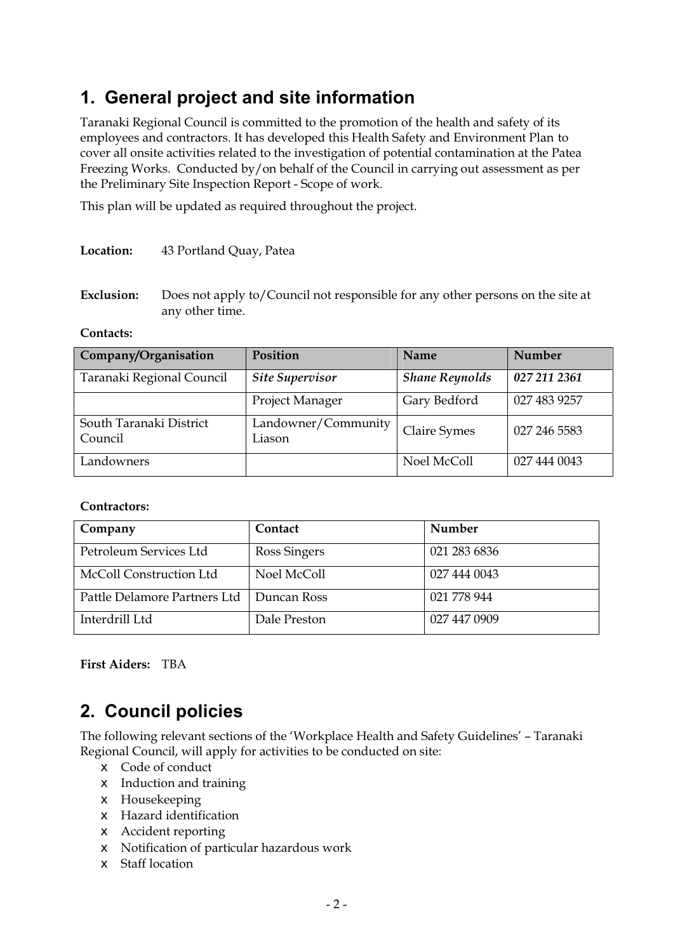# **1. General project and site information**

Taranaki Regional Council is committed to the promotion of the health and safety of its employees and contractors. It has developed this Health Safety and Environment Plan to cover all onsite activities related to the investigation of potential contamination at the Patea Freezing Works. Conducted by/on behalf of the Council in carrying out assessment as per the Preliminary Site Inspection Report - Scope of work.

This plan will be updated as required throughout the project.

#### **Location:** 43 Portland Quay, Patea

**Exclusion:** Does not apply to/Council not responsible for any other persons on the site at any other time.

#### **Contacts:**

| Company/Organisation               | <b>Position</b>               | Name                  | <b>Number</b> |
|------------------------------------|-------------------------------|-----------------------|---------------|
| Taranaki Regional Council          | <b>Site Supervisor</b>        | <b>Shane Reynolds</b> | 027 211 2361  |
|                                    | Project Manager               | Gary Bedford          | 027 483 9257  |
| South Taranaki District<br>Council | Landowner/Community<br>Liason | Claire Symes          | 027 246 5583  |
| Landowners                         |                               | Noel McColl           | 027 444 0043  |

#### **Contractors:**

| Company                      | Contact      | Number       |
|------------------------------|--------------|--------------|
| Petroleum Services Ltd       | Ross Singers | 021 283 6836 |
| McColl Construction Ltd      | Noel McColl  | 027 444 0043 |
| Pattle Delamore Partners Ltd | Duncan Ross  | 021 778 944  |
| Interdrill Ltd               | Dale Preston | 027 447 0909 |

**First Aiders:** TBA

# **2. Council policies**

The following relevant sections of the 'Workplace Health and Safety Guidelines' – Taranaki Regional Council, will apply for activities to be conducted on site:

- $\epsilon$  Code of conduct
- $\epsilon$  Induction and training
- $\epsilon$  Housekeeping
- $\epsilon$  Hazard identification
- $\epsilon$  Accident reporting
- $\epsilon$  Notification of particular hazardous work
- $\epsilon$  Staff location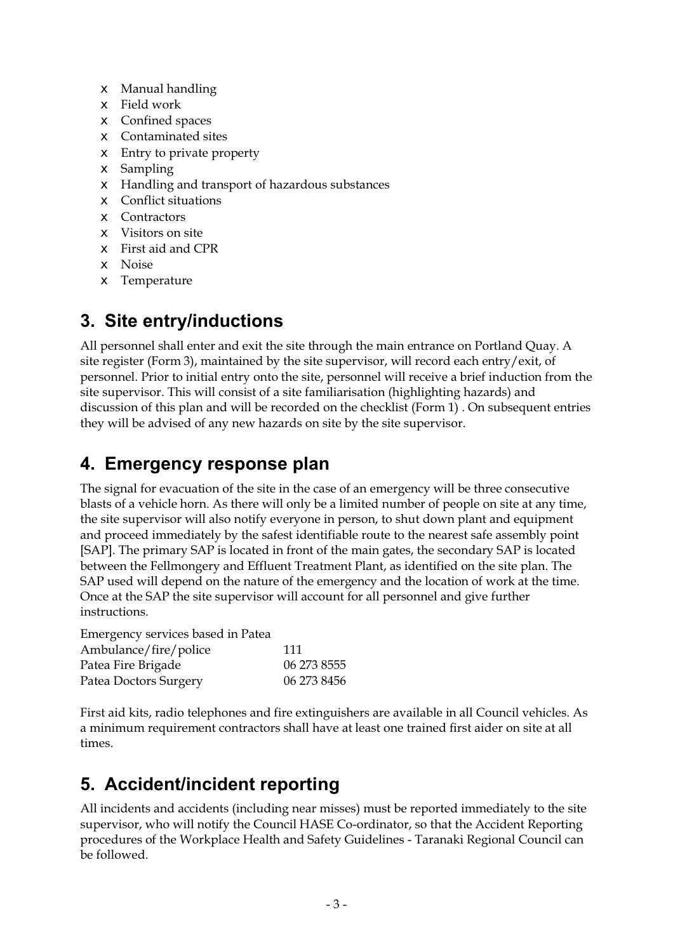- $\epsilon$  Manual handling
- $\epsilon$  Field work
- $\epsilon$  Confined spaces
- $\epsilon$  Contaminated sites
- $\epsilon$  Entry to private property
- $\epsilon$  Sampling
- $\epsilon$  Handling and transport of hazardous substances
- $\epsilon$  Conflict situations
- $\epsilon$  Contractors
- $\sharp$  Visitors on site
- $\epsilon$  First aid and CPR
- $\epsilon$  Noise
- $\epsilon$  Temperature

# **3. Site entry/inductions**

All personnel shall enter and exit the site through the main entrance on Portland Quay. A site register (Form 3), maintained by the site supervisor, will record each entry/exit, of personnel. Prior to initial entry onto the site, personnel will receive a brief induction from the site supervisor. This will consist of a site familiarisation (highlighting hazards) and discussion of this plan and will be recorded on the checklist (Form 1) . On subsequent entries they will be advised of any new hazards on site by the site supervisor.

## **4. Emergency response plan**

The signal for evacuation of the site in the case of an emergency will be three consecutive blasts of a vehicle horn. As there will only be a limited number of people on site at any time, the site supervisor will also notify everyone in person, to shut down plant and equipment and proceed immediately by the safest identifiable route to the nearest safe assembly point [SAP]. The primary SAP is located in front of the main gates, the secondary SAP is located between the Fellmongery and Effluent Treatment Plant, as identified on the site plan. The SAP used will depend on the nature of the emergency and the location of work at the time. Once at the SAP the site supervisor will account for all personnel and give further instructions.

Emergency services based in Patea

| Ambulance/fire/police | 111         |
|-----------------------|-------------|
| Patea Fire Brigade    | 06 273 8555 |
| Patea Doctors Surgery | 06 273 8456 |

First aid kits, radio telephones and fire extinguishers are available in all Council vehicles. As a minimum requirement contractors shall have at least one trained first aider on site at all times.

# **5. Accident/incident reporting**

All incidents and accidents (including near misses) must be reported immediately to the site supervisor, who will notify the Council HASE Co-ordinator, so that the Accident Reporting procedures of the Workplace Health and Safety Guidelines - Taranaki Regional Council can be followed.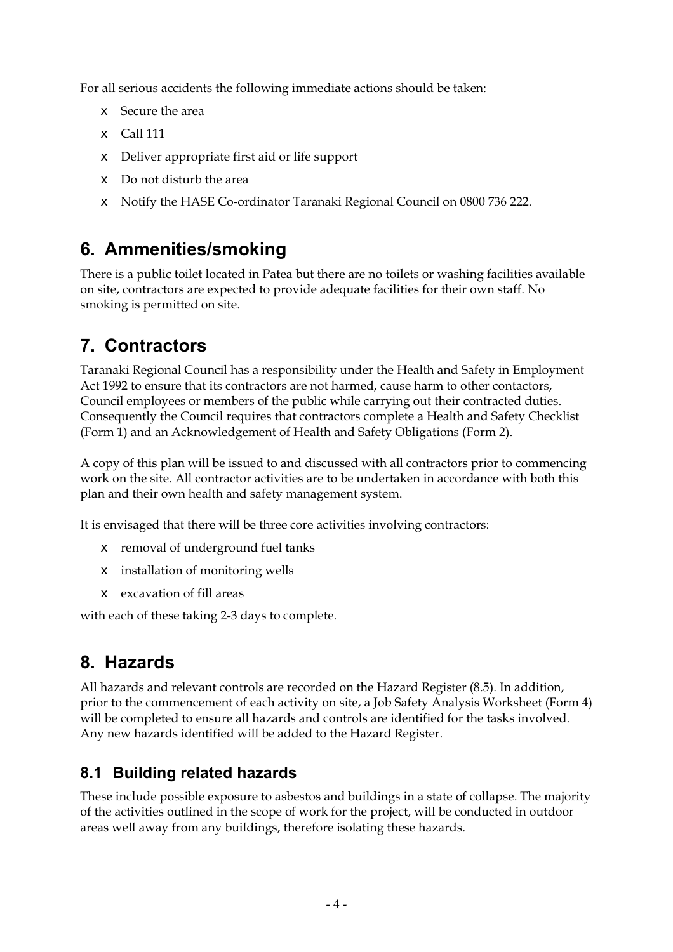For all serious accidents the following immediate actions should be taken:

- $\epsilon$  Secure the area
- $\epsilon$  Call 111
- $\epsilon$  Deliver appropriate first aid or life support
- $\epsilon$  Do not disturb the area
- x Notify the HASE Co-ordinator Taranaki Regional Council on 0800 736 222.

# **6. Ammenities/smoking**

There is a public toilet located in Patea but there are no toilets or washing facilities available on site, contractors are expected to provide adequate facilities for their own staff. No smoking is permitted on site.

# **7. Contractors**

Taranaki Regional Council has a responsibility under the Health and Safety in Employment Act 1992 to ensure that its contractors are not harmed, cause harm to other contactors, Council employees or members of the public while carrying out their contracted duties. Consequently the Council requires that contractors complete a Health and Safety Checklist (Form 1) and an Acknowledgement of Health and Safety Obligations (Form 2).

A copy of this plan will be issued to and discussed with all contractors prior to commencing work on the site. All contractor activities are to be undertaken in accordance with both this plan and their own health and safety management system.

It is envisaged that there will be three core activities involving contractors:

- $\epsilon$  removal of underground fuel tanks
- $\epsilon$  installation of monitoring wells
- $\epsilon$  excavation of fill areas

with each of these taking 2-3 days to complete.

# **8. Hazards**

All hazards and relevant controls are recorded on the Hazard Register (8.5). In addition, prior to the commencement of each activity on site, a Job Safety Analysis Worksheet (Form 4) will be completed to ensure all hazards and controls are identified for the tasks involved. Any new hazards identified will be added to the Hazard Register.

## **8.1 Building related hazards**

These include possible exposure to asbestos and buildings in a state of collapse. The majority of the activities outlined in the scope of work for the project, will be conducted in outdoor areas well away from any buildings, therefore isolating these hazards.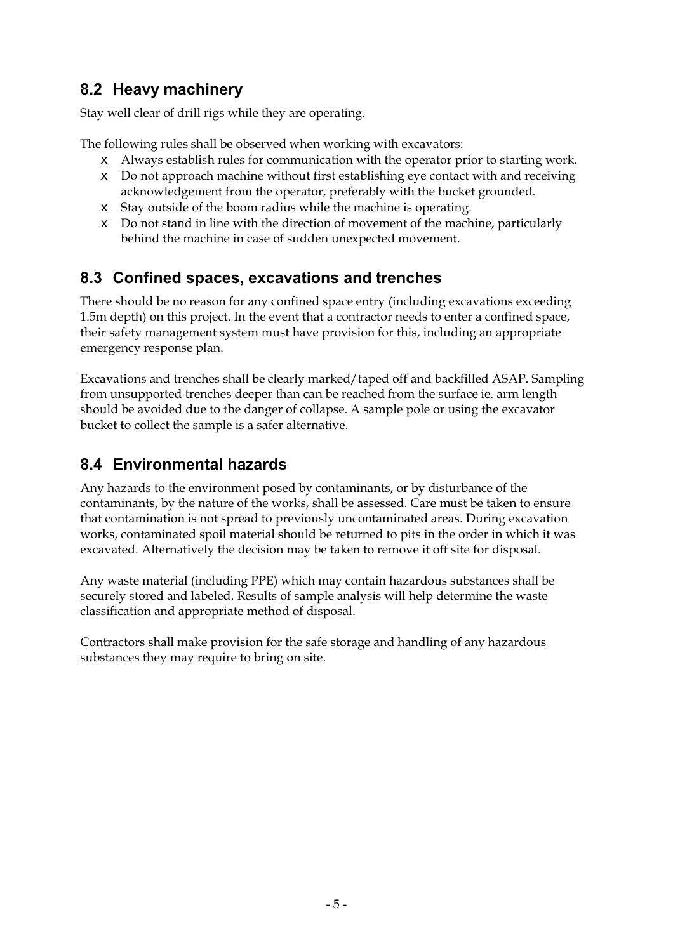### **8.2 Heavy machinery**

Stay well clear of drill rigs while they are operating.

The following rules shall be observed when working with excavators:

- $\epsilon$  Always establish rules for communication with the operator prior to starting work.
- $\epsilon$  Do not approach machine without first establishing eye contact with and receiving acknowledgement from the operator, preferably with the bucket grounded.
- $\epsilon$  Stay outside of the boom radius while the machine is operating.
- $\epsilon$  Do not stand in line with the direction of movement of the machine, particularly behind the machine in case of sudden unexpected movement.

#### **8.3 Confined spaces, excavations and trenches**

There should be no reason for any confined space entry (including excavations exceeding 1.5m depth) on this project. In the event that a contractor needs to enter a confined space, their safety management system must have provision for this, including an appropriate emergency response plan.

Excavations and trenches shall be clearly marked/taped off and backfilled ASAP. Sampling from unsupported trenches deeper than can be reached from the surface ie. arm length should be avoided due to the danger of collapse. A sample pole or using the excavator bucket to collect the sample is a safer alternative.

### **8.4 Environmental hazards**

Any hazards to the environment posed by contaminants, or by disturbance of the contaminants, by the nature of the works, shall be assessed. Care must be taken to ensure that contamination is not spread to previously uncontaminated areas. During excavation works, contaminated spoil material should be returned to pits in the order in which it was excavated. Alternatively the decision may be taken to remove it off site for disposal.

Any waste material (including PPE) which may contain hazardous substances shall be securely stored and labeled. Results of sample analysis will help determine the waste classification and appropriate method of disposal.

Contractors shall make provision for the safe storage and handling of any hazardous substances they may require to bring on site.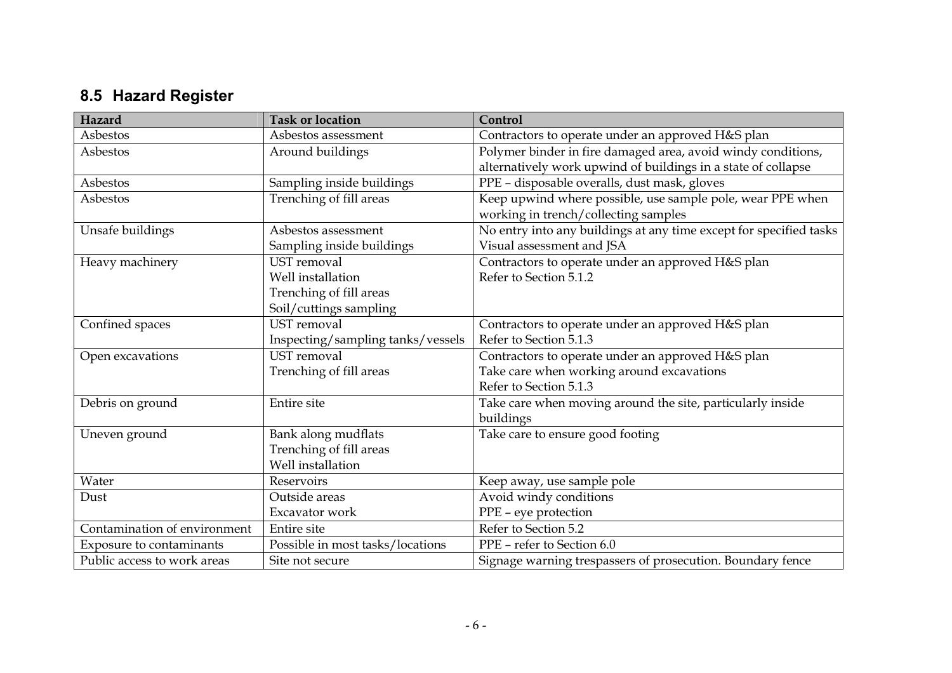# **8.5 Hazard Register**

| Hazard                       | <b>Task or location</b>           | Control                                                            |
|------------------------------|-----------------------------------|--------------------------------------------------------------------|
| Asbestos                     | Asbestos assessment               | Contractors to operate under an approved H&S plan                  |
| Asbestos                     | Around buildings                  | Polymer binder in fire damaged area, avoid windy conditions,       |
|                              |                                   | alternatively work upwind of buildings in a state of collapse      |
| Asbestos                     | Sampling inside buildings         | PPE - disposable overalls, dust mask, gloves                       |
| Asbestos                     | Trenching of fill areas           | Keep upwind where possible, use sample pole, wear PPE when         |
|                              |                                   | working in trench/collecting samples                               |
| Unsafe buildings             | Asbestos assessment               | No entry into any buildings at any time except for specified tasks |
|                              | Sampling inside buildings         | Visual assessment and JSA                                          |
| Heavy machinery              | <b>UST</b> removal                | Contractors to operate under an approved H&S plan                  |
|                              | Well installation                 | Refer to Section 5.1.2                                             |
|                              | Trenching of fill areas           |                                                                    |
|                              | Soil/cuttings sampling            |                                                                    |
| Confined spaces              | <b>UST</b> removal                | Contractors to operate under an approved H&S plan                  |
|                              | Inspecting/sampling tanks/vessels | Refer to Section 5.1.3                                             |
| Open excavations             | <b>UST</b> removal                | Contractors to operate under an approved H&S plan                  |
|                              | Trenching of fill areas           | Take care when working around excavations                          |
|                              |                                   | Refer to Section 5.1.3                                             |
| Debris on ground             | Entire site                       | Take care when moving around the site, particularly inside         |
|                              |                                   | buildings                                                          |
| Uneven ground                | Bank along mudflats               | Take care to ensure good footing                                   |
|                              | Trenching of fill areas           |                                                                    |
|                              | Well installation                 |                                                                    |
| Water                        | Reservoirs                        | Keep away, use sample pole                                         |
| Dust                         | Outside areas                     | Avoid windy conditions                                             |
|                              | Excavator work                    | PPE - eye protection                                               |
| Contamination of environment | Entire site                       | Refer to Section 5.2                                               |
| Exposure to contaminants     | Possible in most tasks/locations  | PPE - refer to Section 6.0                                         |
| Public access to work areas  | Site not secure                   | Signage warning trespassers of prosecution. Boundary fence         |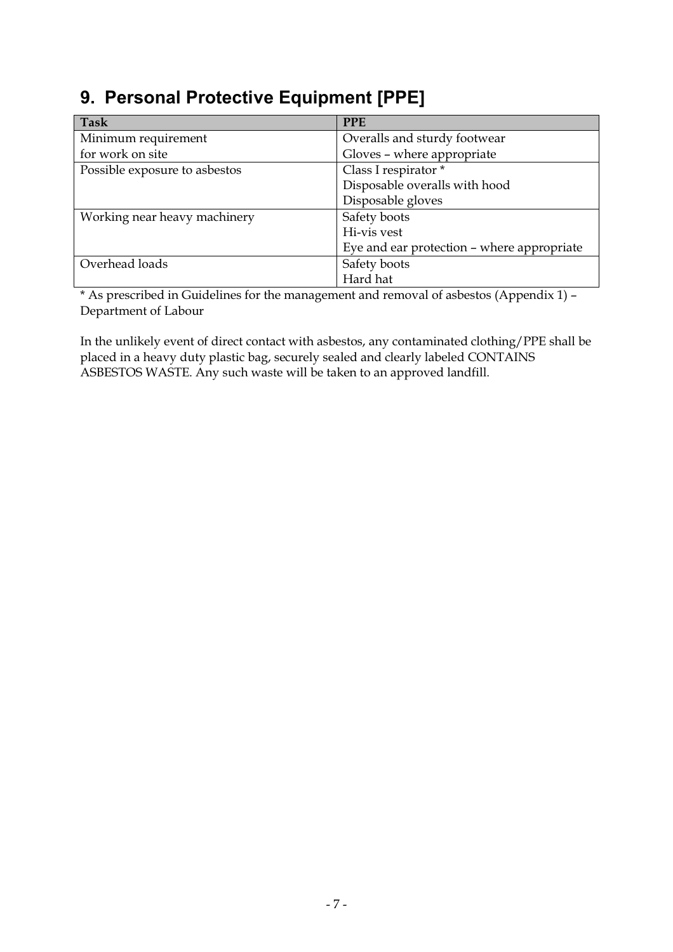# **9. Personal Protective Equipment [PPE]**

| Task                          | <b>PPE</b>                                 |  |  |
|-------------------------------|--------------------------------------------|--|--|
| Minimum requirement           | Overalls and sturdy footwear               |  |  |
| for work on site              | Gloves - where appropriate                 |  |  |
| Possible exposure to asbestos | Class I respirator *                       |  |  |
|                               | Disposable overalls with hood              |  |  |
|                               | Disposable gloves                          |  |  |
| Working near heavy machinery  | Safety boots                               |  |  |
|                               | Hi-vis vest                                |  |  |
|                               | Eye and ear protection – where appropriate |  |  |
| Overhead loads                | Safety boots                               |  |  |
|                               | Hard hat                                   |  |  |

\* As prescribed in Guidelines for the management and removal of asbestos (Appendix 1) – Department of Labour

In the unlikely event of direct contact with asbestos, any contaminated clothing/PPE shall be placed in a heavy duty plastic bag, securely sealed and clearly labeled CONTAINS ASBESTOS WASTE. Any such waste will be taken to an approved landfill.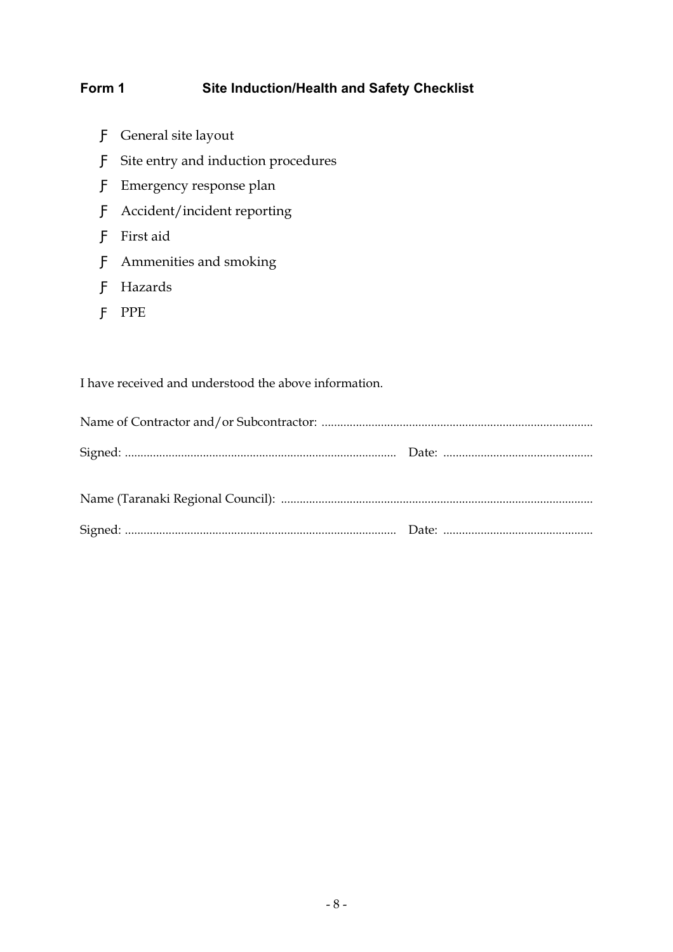#### Form 1 Site Induction/Health and Safety Checklist

General site layout Site entry and induction procedures Emergency response plan Accident/incident reporting First aid Ammenities and smoking Hazards PPE

I have received and understood the above information.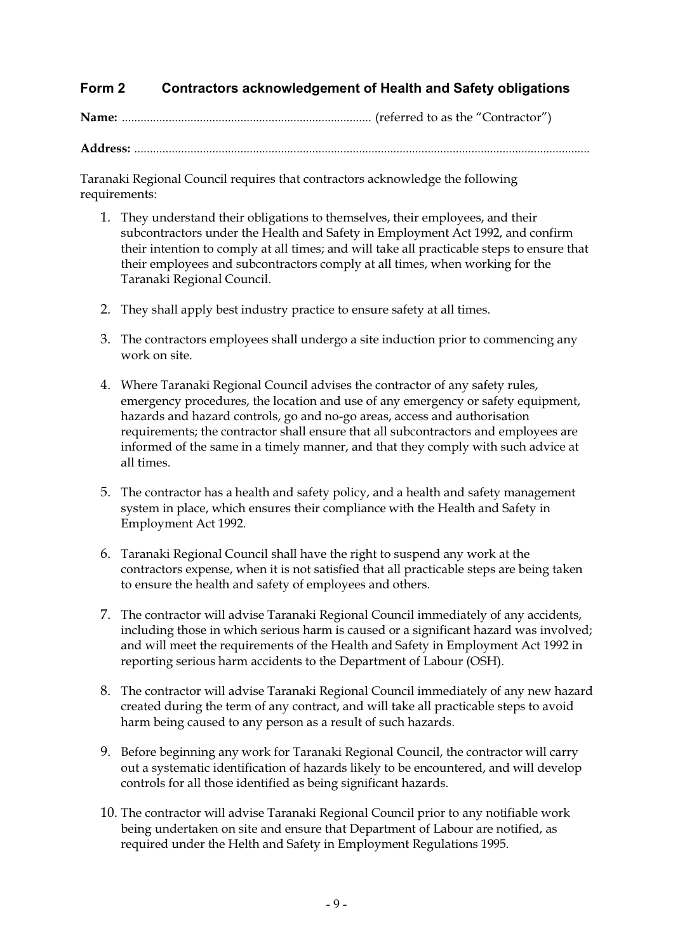#### **Form 2 Contractors acknowledgement of Health and Safety obligations**

**Name:** ................................................................................ (referred to as the "Contractor")

**Address:** ..................................................................................................................................................

Taranaki Regional Council requires that contractors acknowledge the following requirements:

- 1. They understand their obligations to themselves, their employees, and their subcontractors under the Health and Safety in Employment Act 1992, and confirm their intention to comply at all times; and will take all practicable steps to ensure that their employees and subcontractors comply at all times, when working for the Taranaki Regional Council.
- 2. They shall apply best industry practice to ensure safety at all times.
- 3. The contractors employees shall undergo a site induction prior to commencing any work on site.
- 4. Where Taranaki Regional Council advises the contractor of any safety rules, emergency procedures, the location and use of any emergency or safety equipment, hazards and hazard controls, go and no-go areas, access and authorisation requirements; the contractor shall ensure that all subcontractors and employees are informed of the same in a timely manner, and that they comply with such advice at all times.
- 5. The contractor has a health and safety policy, and a health and safety management system in place, which ensures their compliance with the Health and Safety in Employment Act 1992.
- 6. Taranaki Regional Council shall have the right to suspend any work at the contractors expense, when it is not satisfied that all practicable steps are being taken to ensure the health and safety of employees and others.
- 7. The contractor will advise Taranaki Regional Council immediately of any accidents, including those in which serious harm is caused or a significant hazard was involved; and will meet the requirements of the Health and Safety in Employment Act 1992 in reporting serious harm accidents to the Department of Labour (OSH).
- 8. The contractor will advise Taranaki Regional Council immediately of any new hazard created during the term of any contract, and will take all practicable steps to avoid harm being caused to any person as a result of such hazards.
- 9. Before beginning any work for Taranaki Regional Council, the contractor will carry out a systematic identification of hazards likely to be encountered, and will develop controls for all those identified as being significant hazards.
- 10. The contractor will advise Taranaki Regional Council prior to any notifiable work being undertaken on site and ensure that Department of Labour are notified, as required under the Helth and Safety in Employment Regulations 1995.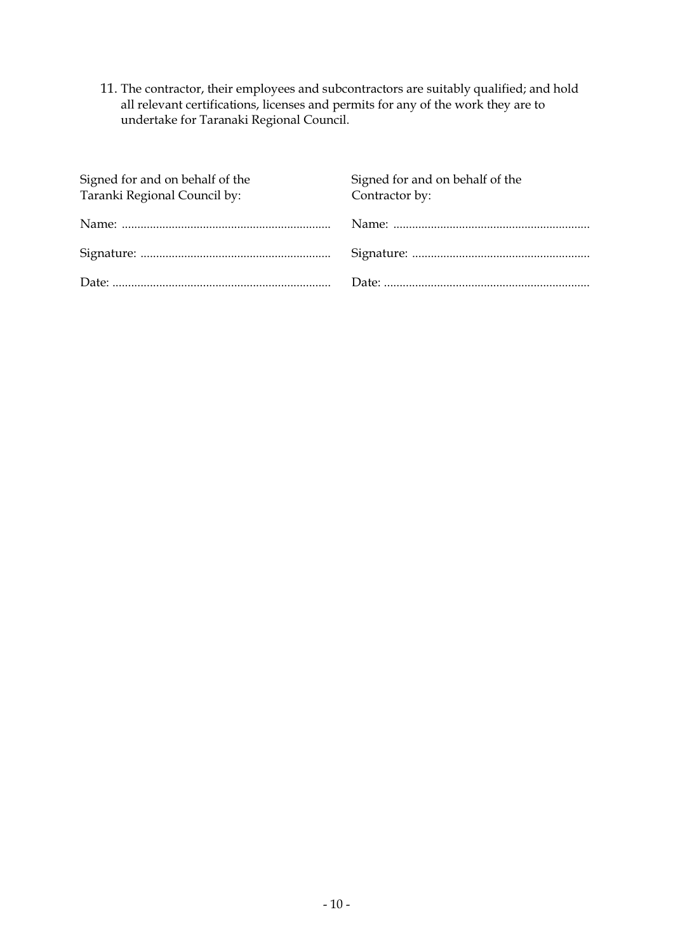11. The contractor, their employees and subcontractors are suitably qualified; and hold all relevant certifications, licenses and permits for any of the work they are to undertake for Taranaki Regional Council.

| Signed for and on behalf of the<br>Taranki Regional Council by: | Signed for and on behalf of the<br>Contractor by: |
|-----------------------------------------------------------------|---------------------------------------------------|
|                                                                 |                                                   |
|                                                                 |                                                   |
|                                                                 |                                                   |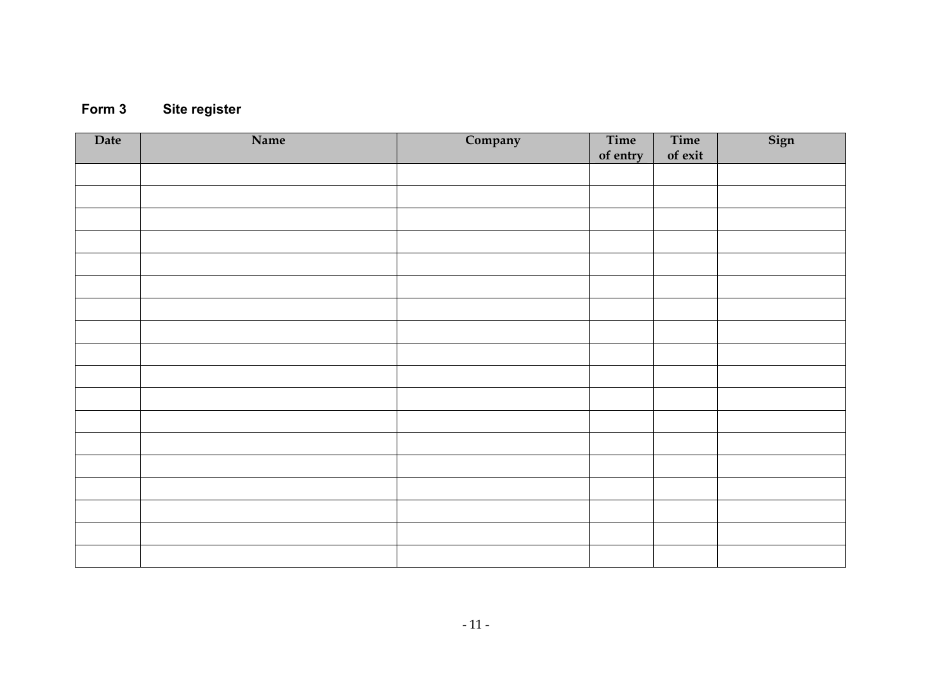## **Form 3 Site register**

| Date | Name | Company | Time<br>of entry | Time<br>of exit | Sign |
|------|------|---------|------------------|-----------------|------|
|      |      |         |                  |                 |      |
|      |      |         |                  |                 |      |
|      |      |         |                  |                 |      |
|      |      |         |                  |                 |      |
|      |      |         |                  |                 |      |
|      |      |         |                  |                 |      |
|      |      |         |                  |                 |      |
|      |      |         |                  |                 |      |
|      |      |         |                  |                 |      |
|      |      |         |                  |                 |      |
|      |      |         |                  |                 |      |
|      |      |         |                  |                 |      |
|      |      |         |                  |                 |      |
|      |      |         |                  |                 |      |
|      |      |         |                  |                 |      |
|      |      |         |                  |                 |      |
|      |      |         |                  |                 |      |
|      |      |         |                  |                 |      |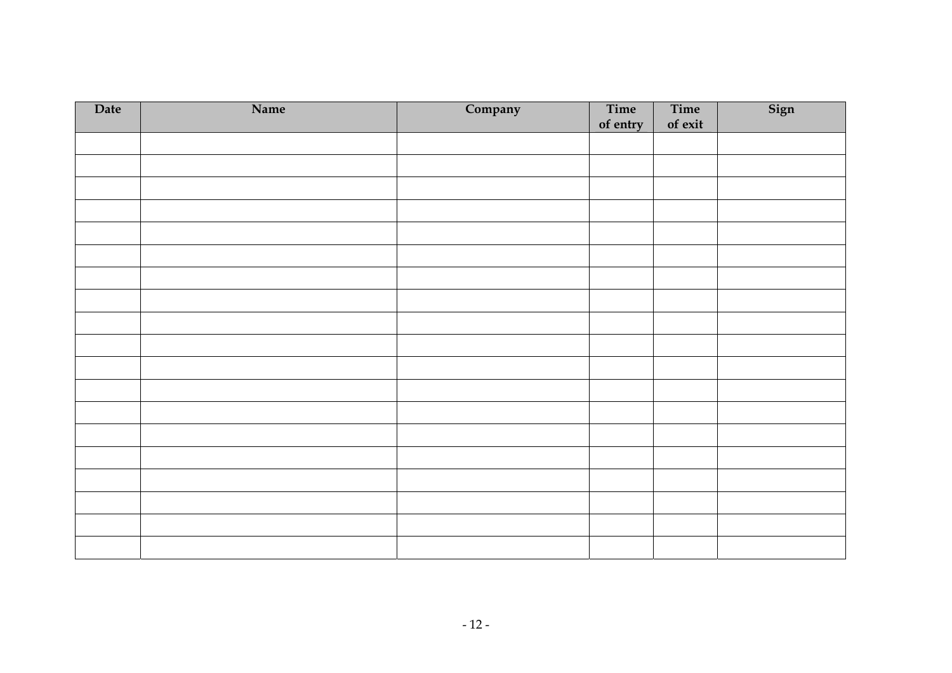| Date | Name | Company | Time<br>of entry | Time<br>of exit | Sign |
|------|------|---------|------------------|-----------------|------|
|      |      |         |                  |                 |      |
|      |      |         |                  |                 |      |
|      |      |         |                  |                 |      |
|      |      |         |                  |                 |      |
|      |      |         |                  |                 |      |
|      |      |         |                  |                 |      |
|      |      |         |                  |                 |      |
|      |      |         |                  |                 |      |
|      |      |         |                  |                 |      |
|      |      |         |                  |                 |      |
|      |      |         |                  |                 |      |
|      |      |         |                  |                 |      |
|      |      |         |                  |                 |      |
|      |      |         |                  |                 |      |
|      |      |         |                  |                 |      |
|      |      |         |                  |                 |      |
|      |      |         |                  |                 |      |
|      |      |         |                  |                 |      |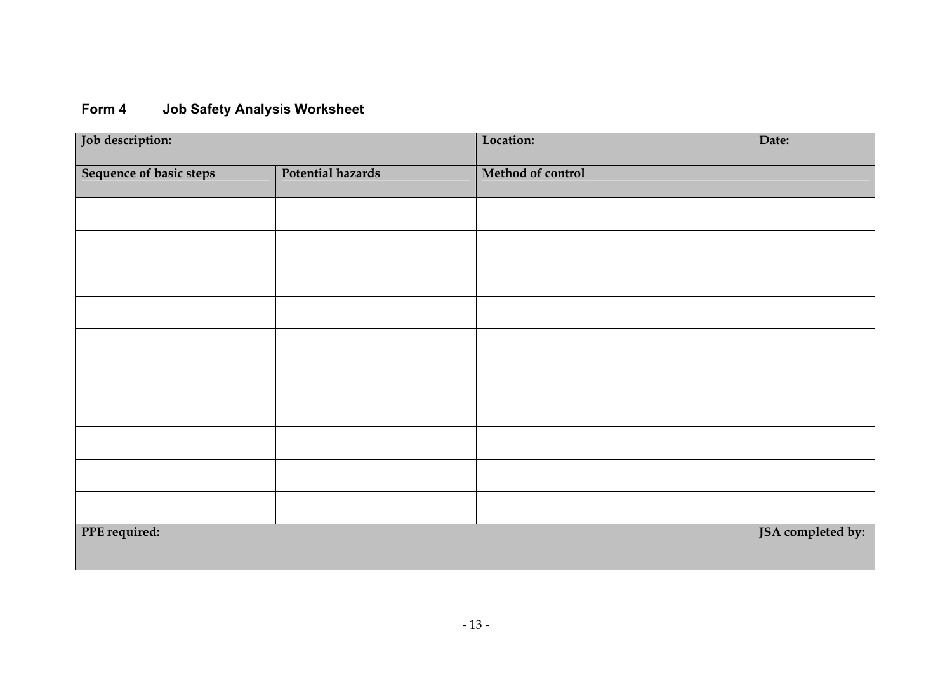## **Form 4 Job Safety Analysis Worksheet**

| Job description:        |                   | Location:         | Date:             |
|-------------------------|-------------------|-------------------|-------------------|
| Sequence of basic steps | Potential hazards | Method of control |                   |
|                         |                   |                   |                   |
|                         |                   |                   |                   |
|                         |                   |                   |                   |
|                         |                   |                   |                   |
|                         |                   |                   |                   |
|                         |                   |                   |                   |
|                         |                   |                   |                   |
|                         |                   |                   |                   |
|                         |                   |                   |                   |
|                         |                   |                   |                   |
| PPE required:           |                   |                   | JSA completed by: |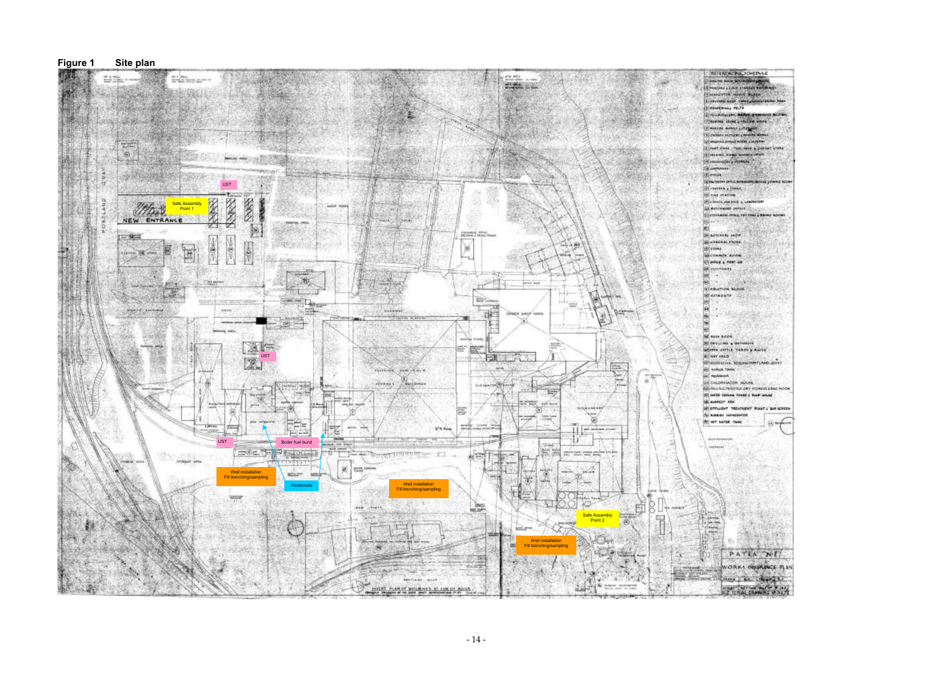#### **Company Ander Ministers Lange NATING & COLO ETANINEE THEASTER HORIC BLOCK** Provide asset value and **EDIDERINAL PELTA CONTRACTOR ACABLES TINANONE CROWL & TRANSM WRITE CHARLES CONTRACTOR** Devision nergine committee **SE PRATH A DINNER PORTA A MAYBRA** Clinat ross, taichers picture vons (Crescut, Insur spredge) **CONSUMADOR & PROPERTY** France, Best El rist stands **IF LINKED AWARD & LAND SO WATERWARE CHINES** Silvanisme antos, refutivo y paino have **EN BUTCHERS SHOW** SCHEENE PLONE **GECONNON ROOM** Clerica's ring as **STEWALLIAN & OWTHE** atletes derive taken a Ranie. STRIPPED A NIMER TOPTLAND QUAY **ASI TORICA TANK :**<br>AE MEANWORK **GECHLORINGON HOUSE** A CHANG, METHOLOGY FOREST CRACK ST NATO COUNG TOWER 5 PART WINNE B autrect PIN IF ETTWENT TREATMENT PLANT & BAR BEREEN Si susano reputazioni fti er varzt twee

PATEA WI VORKS INSURANCE PLAN more than deposite

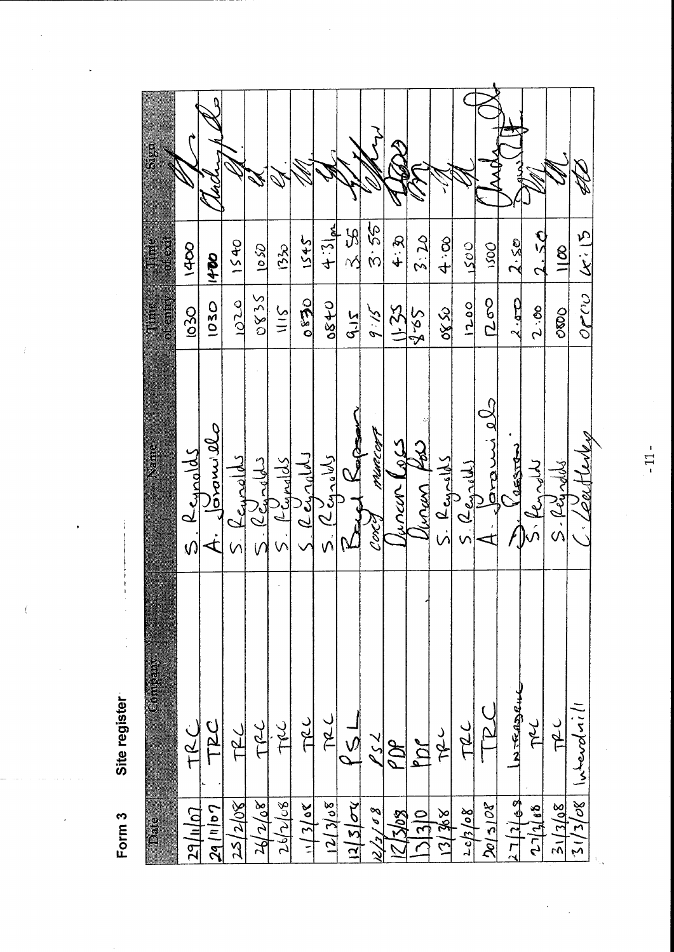|                 | <b>CONTROLLED</b>        |                                   | i                             | i<br>I                         | j |
|-----------------|--------------------------|-----------------------------------|-------------------------------|--------------------------------|---|
| 29/u/o7         | ن<br>ج                   | Keypolds<br>$\hat{U}$             | $102$ O                       | 1400                           |   |
| $2q$ (11/07     | D<br>D<br>T<br>D         | B                                 | 1030                          | 1400                           |   |
| 25/2/08         | T2                       |                                   | 1020                          | 1540                           |   |
| 26/2/68         | TRL                      | ھامحدمنکا                         | SS 80                         | $\Omega$ of                    |   |
| 26/268          | IQC                      | Lignalds                          | 311                           | (32)                           |   |
| 30/51/11        | TRL                      | $5.12$ chrolbli                   | 0.650                         | 1545                           |   |
| 12/368          | Jar                      | 5.2400000                         | 0840                          | $4:3$ and                      |   |
| $12/5$ $\sigma$ | $\frac{1}{2}$            | g<br>d                            | <b>SIS</b>                    | $\frac{5}{2}$                  |   |
| 12/2/88         | $\frac{2}{3}$            | PUNTCOFF<br>Corce                 | $\mathcal{S}$ : $\mathcal{S}$ | 92. S                          |   |
| 12/3/08         | PDP                      | <b>SP</b><br><b>SYVVAN</b>        | $(1 - 25)$                    | 4.名                            |   |
| 3130            | m                        | 32<br>turan                       | 525                           | 2.20                           |   |
| <b>29 Jul</b>   | <b>TRU</b>               | $S.$ $R_{\text{exym}}$            | 0880                          | 4.8                            |   |
| 20/5/27         | TRL                      | $5.$ ( $2\epsilon$ $\omega$ $(1)$ | 0071                          | LSOO                           |   |
| 2015108         | $\overline{\mathcal{L}}$ | S<br>S<br>vand                    | 500                           | UOSI                           |   |
| 27/12/63        | NTRADRUC                 | 258700                            | 2.50                          | 2.50                           |   |
| 27/468          | JAL                      | 5. Render                         | 2.00                          | 2.50                           |   |
| 30/21/36        | TRC                      | $S.$ (Leg odds                    | $O$ 800                       | $\frac{8}{1}$                  |   |
| 30/2/12         | llinforatill             |                                   | $O$ r $CO$                    | $\underline{\mathcal{K}}$ : 15 |   |
|                 |                          |                                   |                               |                                |   |

Site register Form 3

j

 $-11-$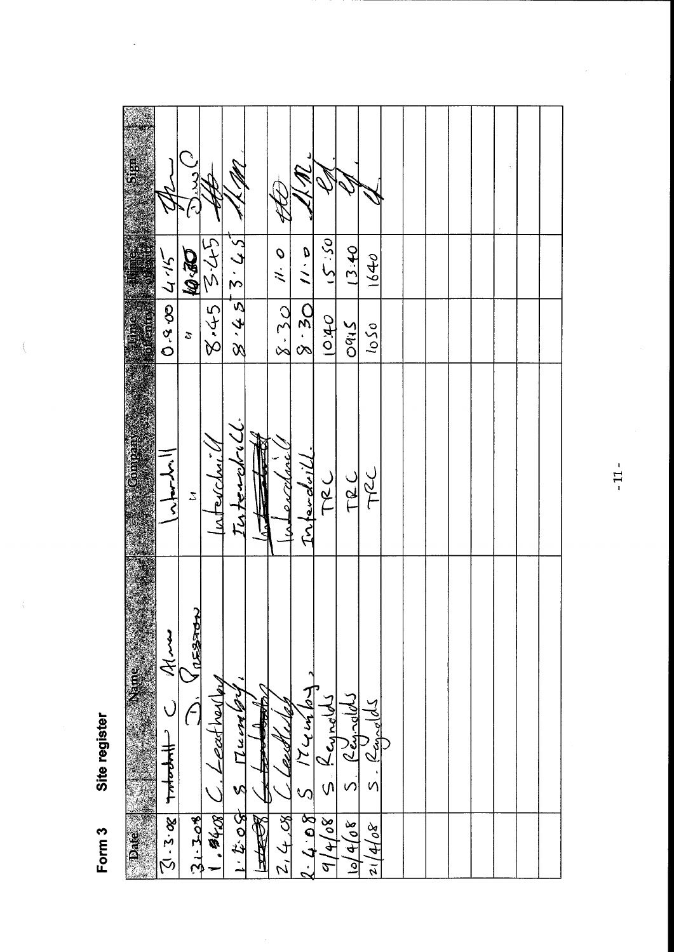| $\frac{1}{2}$       |                          |                                               |                 |                                 |                         |                         |                       |                                         |                      |                              |  |  |  |  |
|---------------------|--------------------------|-----------------------------------------------|-----------------|---------------------------------|-------------------------|-------------------------|-----------------------|-----------------------------------------|----------------------|------------------------------|--|--|--|--|
|                     | 4.45                     | <b>DE-01</b>                                  | $3425$ $345$    | 8.457.545                       |                         | $\frac{1}{2}$           | $\frac{a}{b}$         | 05.21                                   | 13.40                | 1640                         |  |  |  |  |
| $\frac{1}{2}$       | $\overline{0.3}$         | $\mathcal{Z}$                                 |                 |                                 |                         | $8 - 30$                | $8 - 30$              | 040                                     | $Oq_{1}S$            | 050                          |  |  |  |  |
| Compan              | へんしょ                     | $\mathcal{Z}$                                 | interchi        | Interchill.                     | $\overline{\mathbf{z}}$ | enclave                 | Infanchoil            | TRC                                     | TRC                  | TRC                          |  |  |  |  |
| Name<br><b>Pate</b> | えん<br>theoretic<br>3.2.8 | ን<br>$\sqrt{2530}$<br>$\bigcap$<br>$31 - 308$ | eather<br>4.540 | $H_{\text{sh}}$ $H_{\text{sh}}$ | $H_{\text{eff}}$        | <b>2251</b><br>2, 4, 08 | 174464<br>$2 - 2 - 8$ | LeyneW<br>.<br>(پ<br>$\frac{d}{d}$ 4/08 | Regionald<br>80/4/08 | $2\frac{c_{end}}{2}$<br>1408 |  |  |  |  |

 $\frac{1}{2}$ 

Site register Form 3

 $\left\langle \right\rangle$ 

 $\frac{1}{2}$ 

 $\ddot{\phantom{0}}$ 

 $-11-$ 

 $\frac{1}{2}$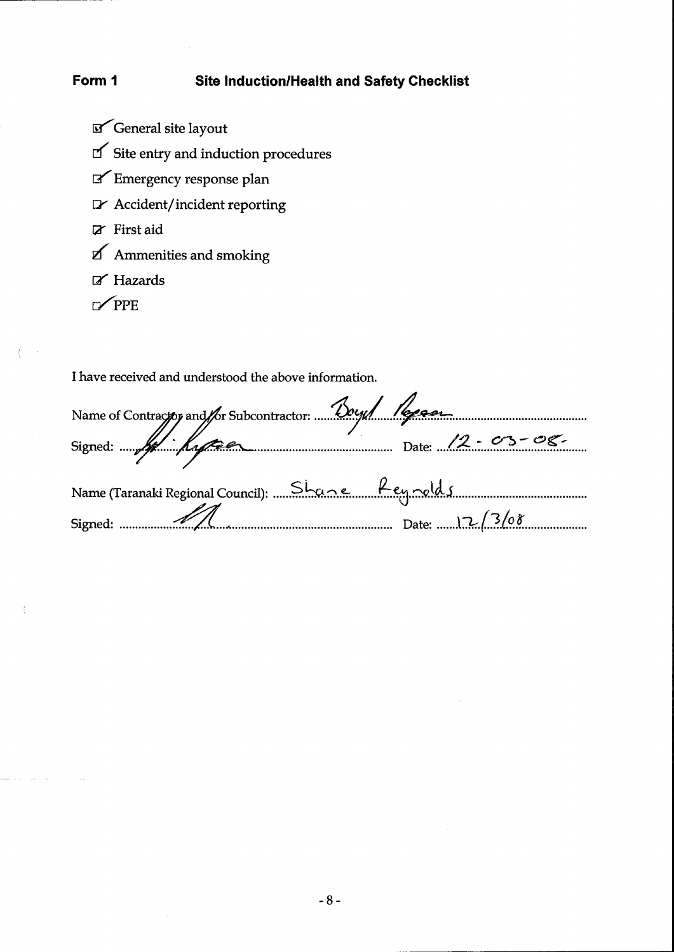#### Form 1 **Site Induction/Health and Safety Checklist**

- $\mathbb{F}$  General site layout
- $\textsf{C}^\prime$  Site entry and induction procedures
- Emergency response plan
- $\triangleright$  Accident/incident reporting
- $Z$  First aid
- $\bf{Z}$ Ammenities and smoking
- $\mathbb Z$  Hazards
- $\mathbb{Z}$  PPE

 $\frac{2}{3}$  ,  $\frac{1}{3}$  ,  $\frac{1}{3}$ 

ţ

I have received and understood the above information.

| Name of Contractor and for Subcontractor. Dough Repeat |  |
|--------------------------------------------------------|--|
|                                                        |  |
| Name (Taranaki Regional Council): Shane fey rold 5     |  |
|                                                        |  |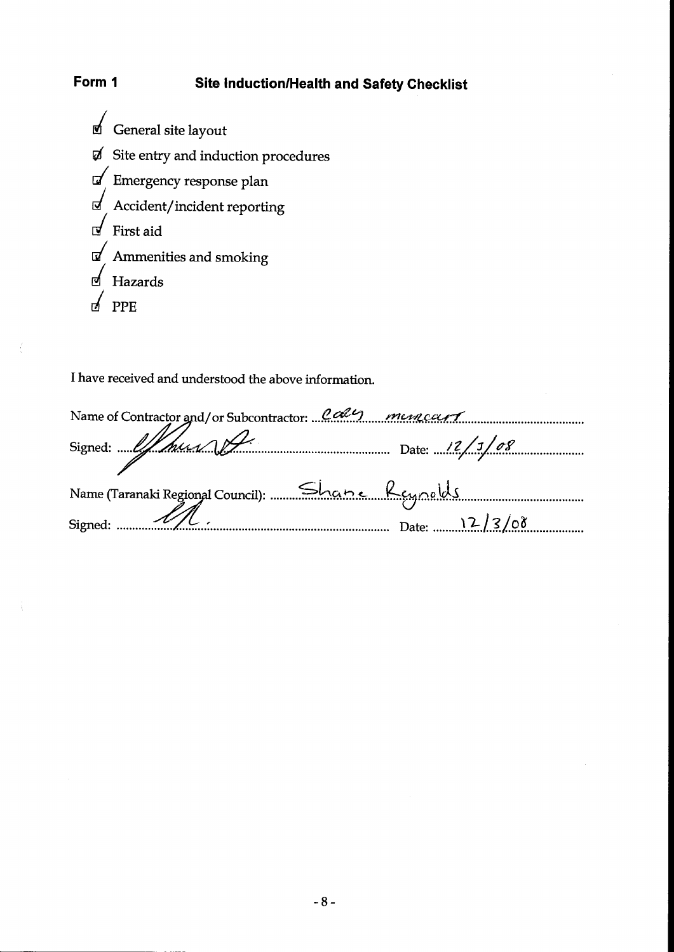#### Form 1 Site Induction/Health and Safety Checklist

General site layout  $\raisebox{.15\baselineskip}{\text{\Large$\raisebox{.4ex}{$\scriptstyle\circ$}}}$  Site entry and induction procedures  $\sqrt{2}$  Emergency response plan  $\mathbb{J}$  Accident/incident reporting  $\overline{I}$  First aid  $\mathbb{F}$  Ammenities and smoking  $\triangle$  Hazards  $\sqrt{PPE}$ 

<sup>I</sup>have received and understood the above information.

| Name of Contractor and/or Subcontractor: Cally mences |  |
|-------------------------------------------------------|--|
| Signed: 11/108                                        |  |
|                                                       |  |
| Name (Taranaki Regional Council):  Shane Reynolds     |  |
| Signed: $\mathscr{M}$ .<br>12/3/08                    |  |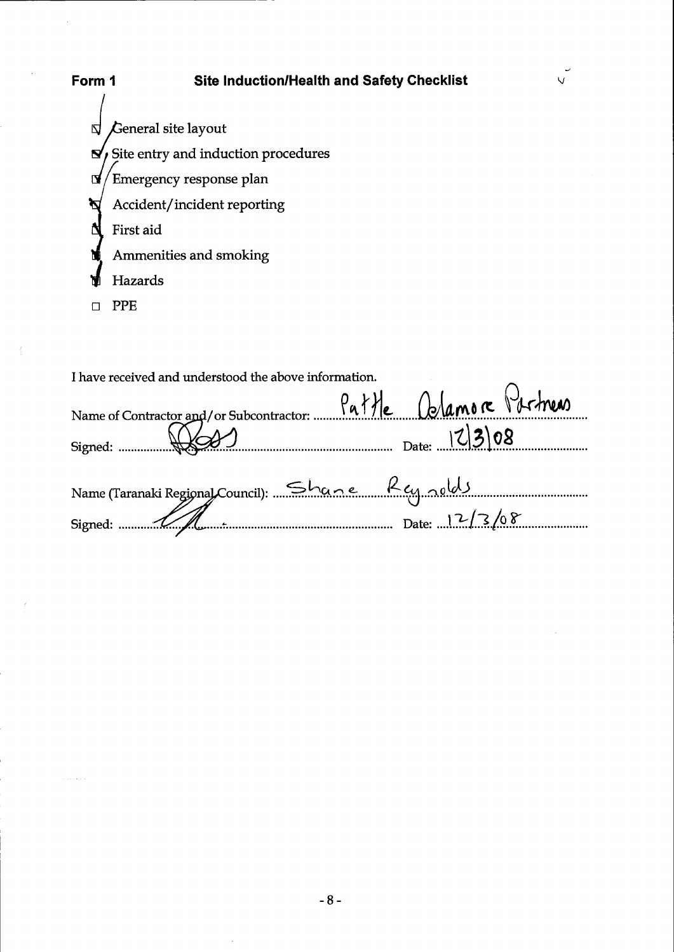

| I have received and understood the above information.             |  |
|-------------------------------------------------------------------|--|
| Name of Contractor and/or Subcontractor: Pattle Calamore Pirtness |  |
| Signed: (12308                                                    |  |
|                                                                   |  |
| Name (Taranaki Regional Council): Shane Rey nolds                 |  |
| Signed: $12/3/08$                                                 |  |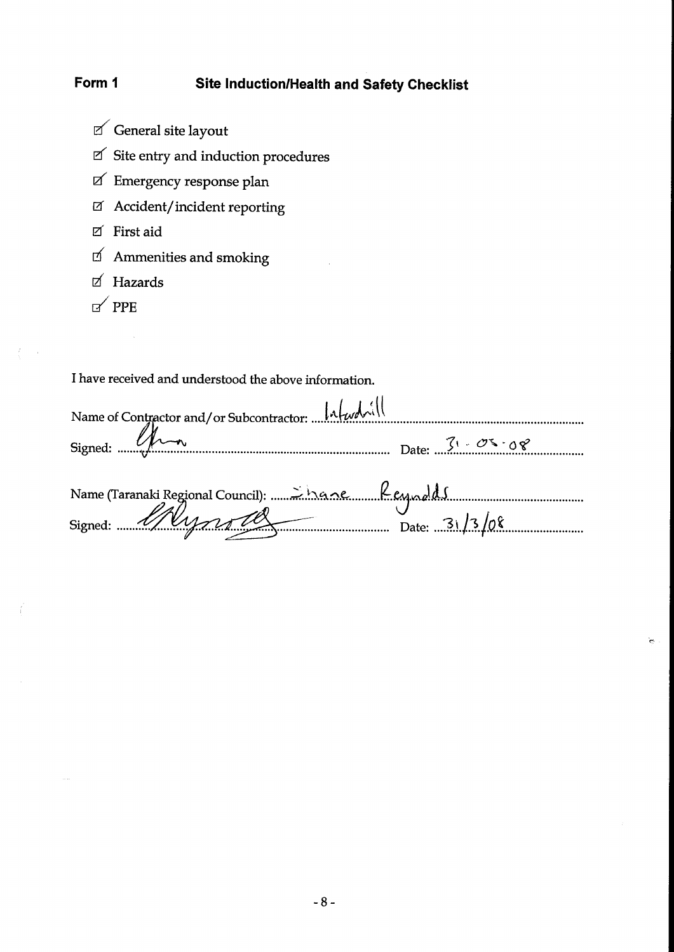#### Site Induction/Health and Safety Checklist Form 1

- $\mathbb Z$  General site layout
- $\ensuremath{\boxtimes}^\prime$  Site entry and induction procedures
- $\boxtimes$  Emergency response plan
- I Accident/incident reporting
- $\boxtimes$  First aid
- $\Box'$  Ammenities and smoking
- $\boxtimes$  Hazards
- $P$ PPE

 $T_{\rm c}$  ,  $\tau_{\rm d}$ 

I have received and understood the above information.

| Name of Contractor and/or Subcontractor: $\lVert \Lambda \rVert_{\mathcal{W}}$ |                                                                          |
|--------------------------------------------------------------------------------|--------------------------------------------------------------------------|
| Signed: $\mathcal{U}$                                                          | Date: $\sqrt{1 - \mathcal{O} \mathcal{S} \cdot \mathcal{O} \mathcal{S}}$ |
|                                                                                |                                                                          |
|                                                                                |                                                                          |
| Name (Taranaki Regional Council): 2002 Mane fleuralds                          |                                                                          |

 $\mathcal{L}^{(1)}$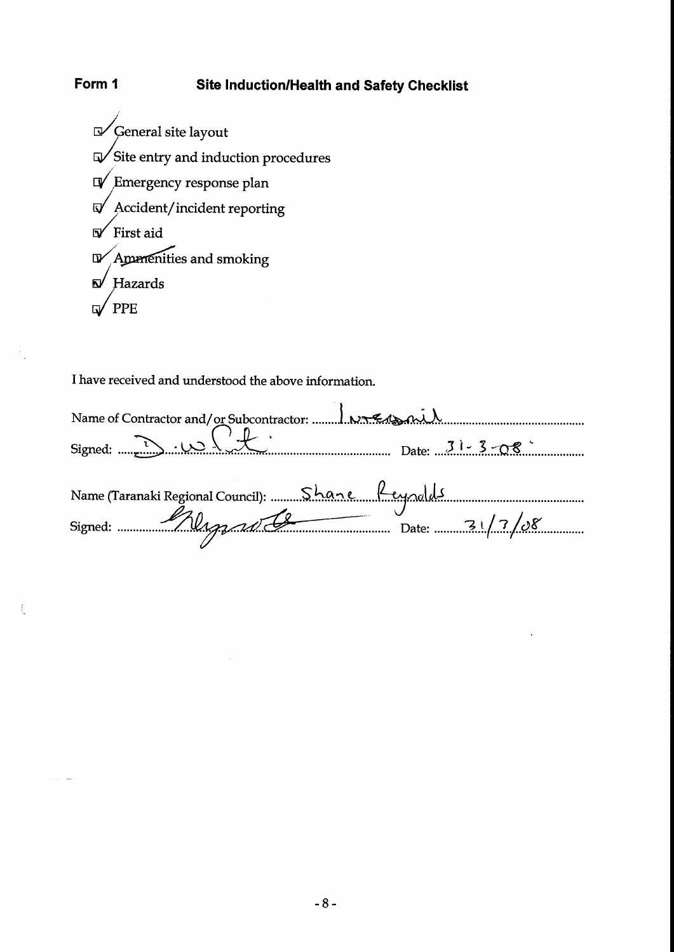## Site Induction/Health and Safety Checklist

 $\sqrt{\frac{1}{2}}$  General site layout  $\sqrt{\frac{1}{100}}$  Site entry and induction procedures  $\mathbb{D}$  Emergency response plan  $\sqrt{2}$  Accident/incident reporting  $\sqrt{\frac{1}{2}}$  First aid D/Ammenities and smoking  $\mathbf{D}$  Hazards  $'$  PPE  $\overline{\mathsf{w}}$ 

Form 1

 $\frac{1}{2}$ 

f,

I have received and understood the above information.

| Name (Taranaki Regional Council):  Shane Reynolds |  |
|---------------------------------------------------|--|
| Signed: 21/3/08                                   |  |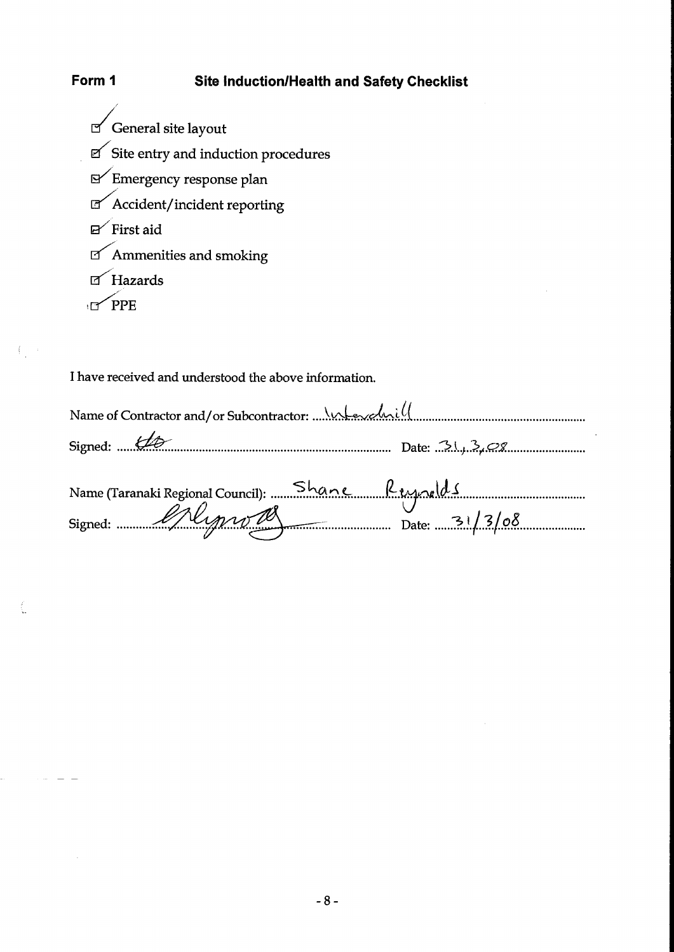#### **Site Induction/Health and Safety Checklist**

 $\sigma$  General site layout  $\textsf{C}^\prime$  Site entry and induction procedures  $\mathbb{R}$  Emergency response plan  $\textsf{C}$  <br> Accident/incident reporting  $\mathbb{P}$  First aid  $\textsf{I}\textsf{I}$  Ammenities and smoking  $\sigma$  Hazards  $\sqrt{PPE}$ 

Form 1

 $\left\{ \begin{array}{ccc} & & \\ & & \end{array} \right.$ 

 $\sim 10^{-1}$  m  $^{-1}$ 

 $\ddot{\phantom{a}}$ 

I have received and understood the above information.

| Signed: $\mathcal{L}\mathcal{D}$                                                 |  |  |
|----------------------------------------------------------------------------------|--|--|
|                                                                                  |  |  |
| Name (Taranaki Regional Council): Shane Reynolds<br>Signed: Signed: Alman Marcon |  |  |
|                                                                                  |  |  |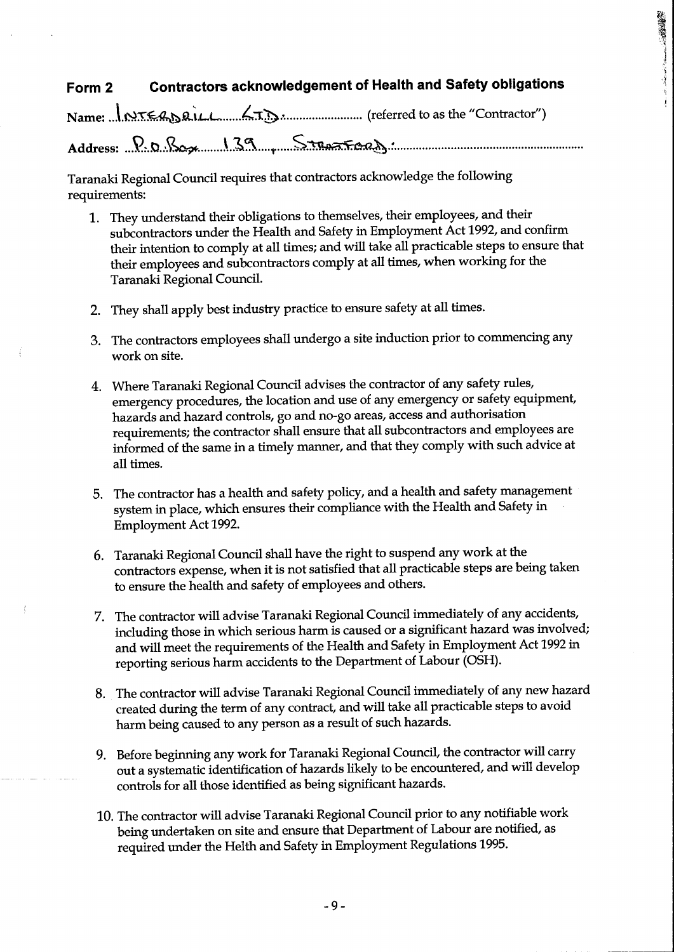## Form 2 Contractors acknowledgement of Health and Safety obligations

Name: J.1~I~a\.L..L.......?:.:'(!').,:........................ (referred to as the "Contractor")

Address: ..S?~.tJ..,~........\. 5.....1"""S~~.~............................................................

Taranaki Regional Council requires that contractors acknowledge the following requirements:

- 1. They understand their obligations to themselves, their employees, and their subcontractors under the Health and Safety in Employment Act 1992, and confirm their intention to comply at all times; and will take all practicable steps to ensure that their employees and subcontractors comply at all times, when working for the Taranaki Regional Council.
- 2. They shall apply best industry practice to ensure safety at all times.
- 3. The contractors employees shall undergo a site induction prior to commencing any work on site.
- 4. Where Taranaki Regional Council advises the contractor of any safety rules, emergency procedures, the location and use of any emergency or safety equipment, hazards and hazard controls, go and no-go areas, access and authorisation requirements; the contractor shall ensure that all subcontractors and employees are informed of the same in a timely manner, and that they comply with such advice at all times.
- 5. The contractor has a health and safety policy, and a health and safety management system in place, which ensures their compliance with the Health and Safety in Employment Act 1992.
- 6. Taranaki Regional Council shall have the right to suspend any work at the contractors expense, when it is not satisfied that all practicable steps are being taken to ensure the health and safety of employees and others.
- 7. The contractor will advise Taranaki Regional Council immediately of any accidents, including those in which serious harm is caused or a significant hazard was involved; and will meet the requirements of the Health and Safety in Employment Act 1992 in reporting serious harm accidents to the Department of Labour (OSH).
- 8. The contractor will advise Taranaki Regional Council immediately of any new hazard created during the term of any contract, and will take all practicable steps to avoid harm being caused to any person as a result of such hazards.
- 9. Before beginning any work for Taranaki Regional Council, the contractor will carry out a systematic identification of hazards likely to be encountered, and will develop controls for all those identified as being significant hazards.
- 10. The contractor will advise Taranaki Regional Council prior to any notifiable work being undertaken on site and ensure that Department of Labour are notified, as required under the Helth and Safety in Employment Regulations 1995.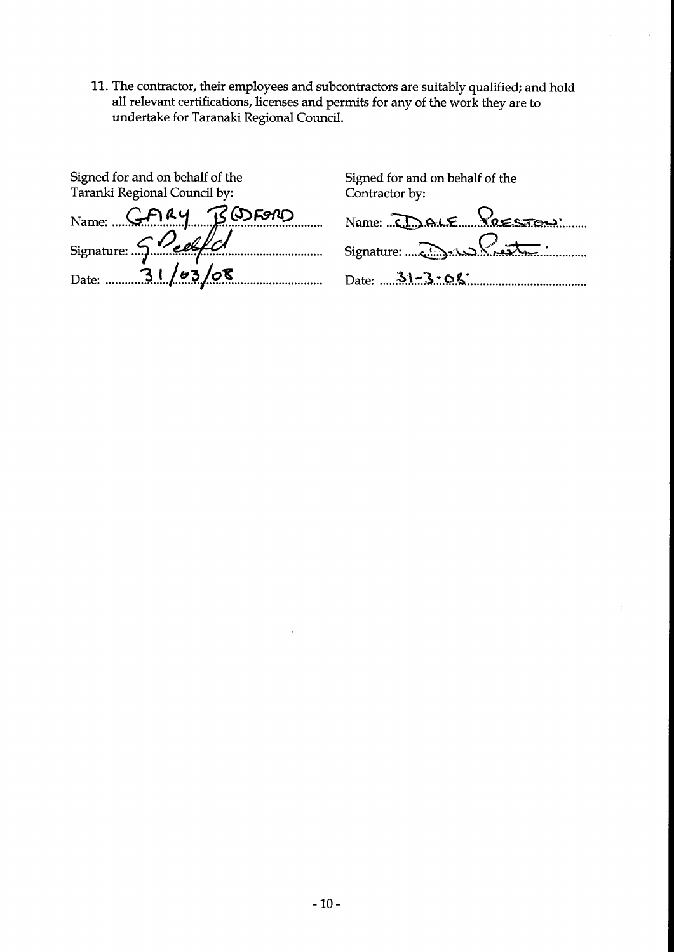11. The contractor, their employees and subcontractors are suitably qualified; and hold all relevant certifications, licenses and permits for any of the work they are to undertake for Taranaki Regional Council.

| Signed for and on behalf of the<br>Taranki Regional Council by: |
|-----------------------------------------------------------------|
| Name: GFIRY BODFORD                                             |
| Signature: 5 Peelfl                                             |
| $_{\text{Date:}}$ 31/03/08                                      |

| Signed for and on behalf of the                       |
|-------------------------------------------------------|
| Contractor by:                                        |
| Name: $\sum_{n=1}^{\infty}$ ALE $\sum_{n=1}^{\infty}$ |
|                                                       |
| Date: $31 - 3 - 68$                                   |

 $\mathcal{L}$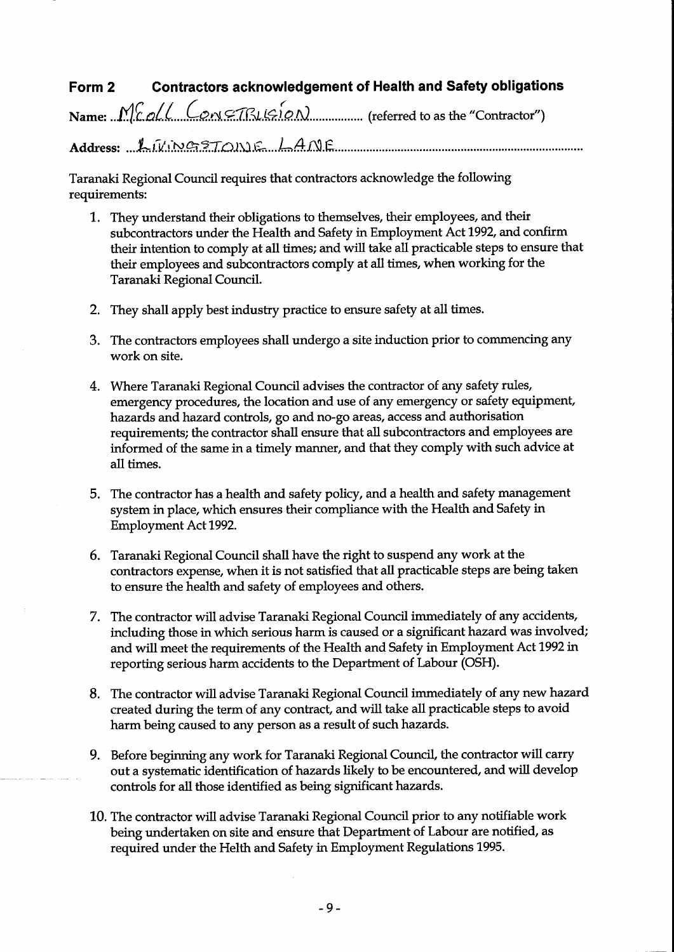#### Form 2 Contractors acknowledgement of Health and Safety obligations

Name: ...M.tCJLt.....C:t2.d.9;1J:.-v.-J..~D?.N................. (referred to as the "Contractor")

Address: 1.1/ing370n16 140F

Taranaki Regional Council requires that contractors acknowledge the following requirements:

- 1. They understand their obligations to themselves, their employees, and their subcontractors under the Health and Safety in Employment Act 1992, and confirm their intention to comply at all times; and will take all practicable steps to ensure that their employees and subcontractors comply at all times, when working for the Taranaki Regional Council.
- 2. They shall apply best industry practice to ensure safety at all times.
- 3. The contractors employees shall undergo a site induction prior to commencing any work on site.
- 4. Where Taranaki Regional Council advises the contractor of any safety rules, emergency procedures, the location and use of any emergency or safety equipment, hazards and hazard controls, go and no-go areas, access and authorisation requirements; the contractor shall ensure that all subcontractors and employees are informed of the same in a timely manner, and that they comply with such advice at all times.
- 5. The contractor has a health and safety policy, and a health and safety management system in place, which ensures their compliance with the Health and Safety in Employment Act 1992.
- 6. Taranaki Regional Council shall have the right to suspend any work at the contractors expense, when it is not satisfied that all practicable steps are being taken to ensure the health and safety of employees and others.
- 7. The contractor will advise Taranaki Regional Council immediately of any accidents, including those in which serious harm is caused or a significant hazard was involved; and will meet the requirements of the Health and Safety in Employment Act 1992 in reporting serious harm accidents to the Department of Labour (OSH).
- 8. The contractor will advise Taranaki Regional Council immediately of any new hazard created during the term of any contract, and will take all practicable steps to avoid harm being caused to any person as a result of such hazards.
- 9. Before beginning any work for Taranaki Regional Council, the contractor will carry out a systematic identification of hazards likely to be encountered, and will develop controls for all those identified as being significant hazards.
- 10. The contractor will advise Taranaki Regional Council prior to any notifiable work being undertaken on site and ensure that Department of Labour are notified, as required under the Helth and Safety in Employment Regulations 1995.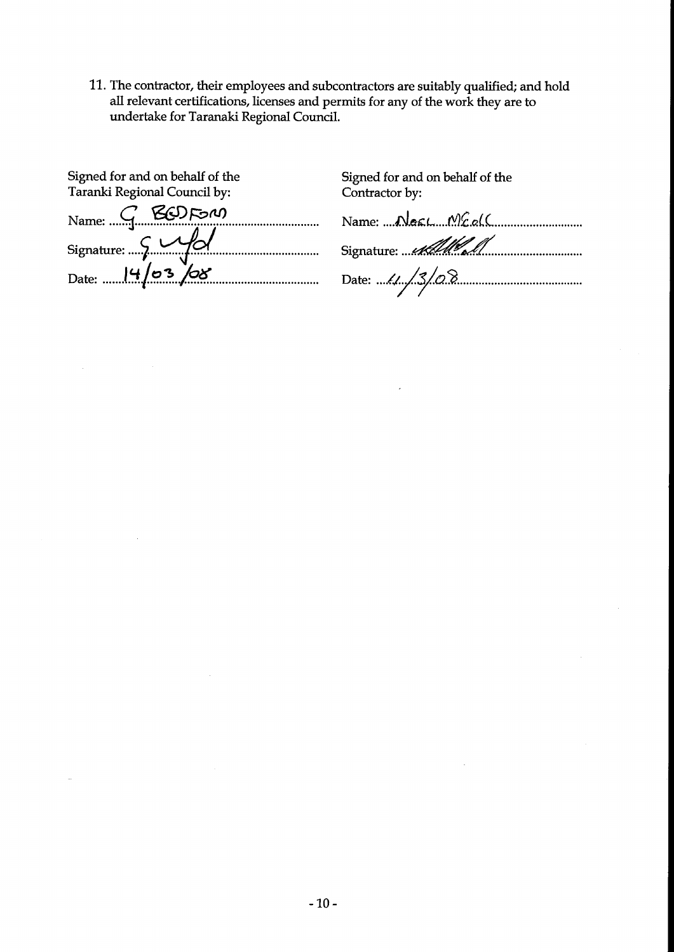11. The contractor, their employees and subcontractors are suitably qualified; and hold all relevant certifications, licenses and permits for any of the work they are to undertake for Taranaki Regional Council.

| Signed for and on behalf of the | Signed for ar |
|---------------------------------|---------------|
| Taranki Regional Council by:    | Contractor b  |
| Name: G BODFON                  |               |
| Signature: 5 M/                 | Signature:    |
| Date: $14/03/08$                |               |

 $\mathbf{r}$ nd on behalf of the y:

<u>ası. Mcal(</u> <u>AMY S</u>

13/08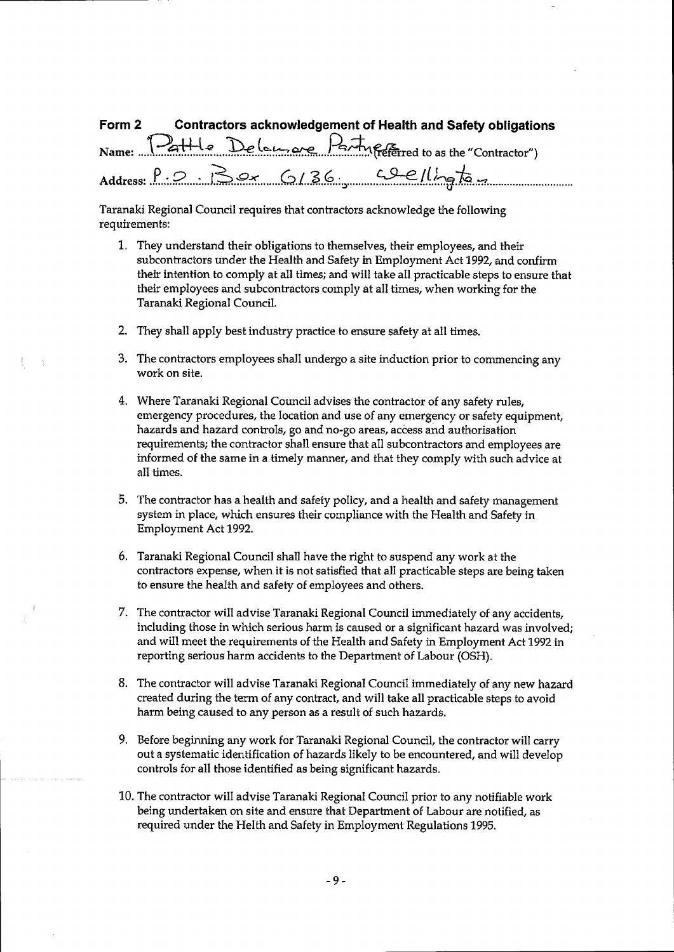| Form 2 |  | Contractors acknowledgement of Health and Safety obligations  |  |
|--------|--|---------------------------------------------------------------|--|
|        |  | Name: Pattle Delaurane Party Fefetred to as the "Contractor") |  |
|        |  | Address: $P.2.$ Box 6/36 $Qellh$                              |  |

Taranaki Regional Council requires that contractors acknowledge the following requirements:

- 1. They understand their obligations to themselves, their employees, and their subcontractors under the Health and Safety in Employment Act 1992, and confirm their intention to comply at all times; and will take all practicable steps to ensure that their employees and subcontractors comply at all times, when working for the Taranaki Regional Council.
- 2. They shall apply best industry practice to ensure safety at ail times.
- 3. The contractors employees shall undergo a site induction prior to commencing any work on site.
- 4. Where Taranaki Regional Council advises the contractor of any safety rules, emergency procedures, the location and use of any emergency or safety equipment, hazards and hazard controls, go and no-go areas, access and authorisation requirements; the contractor shall ensure that all subcontractors and employees are informed of the same in a timely manner, and that they comply with such advice at all times.
- 5. The contractor has a health and safety policy, and a health and safety management system in place, which ensures their compliance with the Health and Safety in Employment Act 1992.
- 6. Taranaki Regional Council shall have the right to suspend any work at the contractors expense, when it is not satisfied that all practicable steps are being taken to ensure the health and safety of employees and others.
- 7. The contractor will advise Taranaki Regional Council immediately of any accidents, including those in which serious harm is caused or a significant hazard was involved; and will meet the requirements of the Health and Safety in Employment Act 1992 in reporting serious harm accidents to the Department of Labour (OSH).
- 8. The contractor will advise Taranaki Regional Council immediately of any new hazard created during the term of any contract, and wiH take all practicable steps to avoid harm being caused to any person as a result of such hazards.
- 9. Before beginning any work for Taranaki Regional Council, the contractor will carry out a systematic identification of hazards likely to be encountered, and will develop controls for all those identified as being significant hazards.
- 10. The contractor will advise Taranaki Regional Council prior to any notifiable work being undertaken on site and ensure that Department of Labour are notified, as required under the HeIth and Safety in Employment Regulations 1995.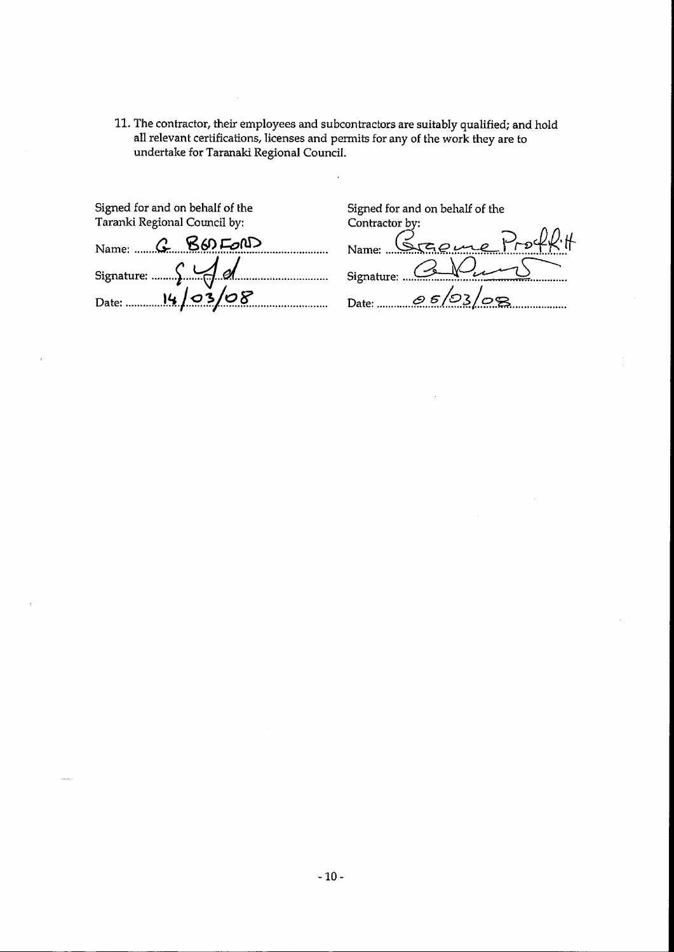11. The contractor, their employees and subcontractors are suitably qualified; and hold all relevant certifications, licenses and permits for any of the work they are to undertake for Taranaki Regional Council.

 $\overline{a}$ 

| Signed for and on behalf of the<br>Taranki Regional Council by: |
|-----------------------------------------------------------------|
| Name: G BOD FORD                                                |
| Signature: Signature:                                           |
| Date: 14/03/08                                                  |

т,

Signed for and on behalf of the Contractor by:

 $\sim$ 

| Name Graeme       |
|-------------------|
| Signature:        |
| 05/03/08<br>Date: |

 $\sim$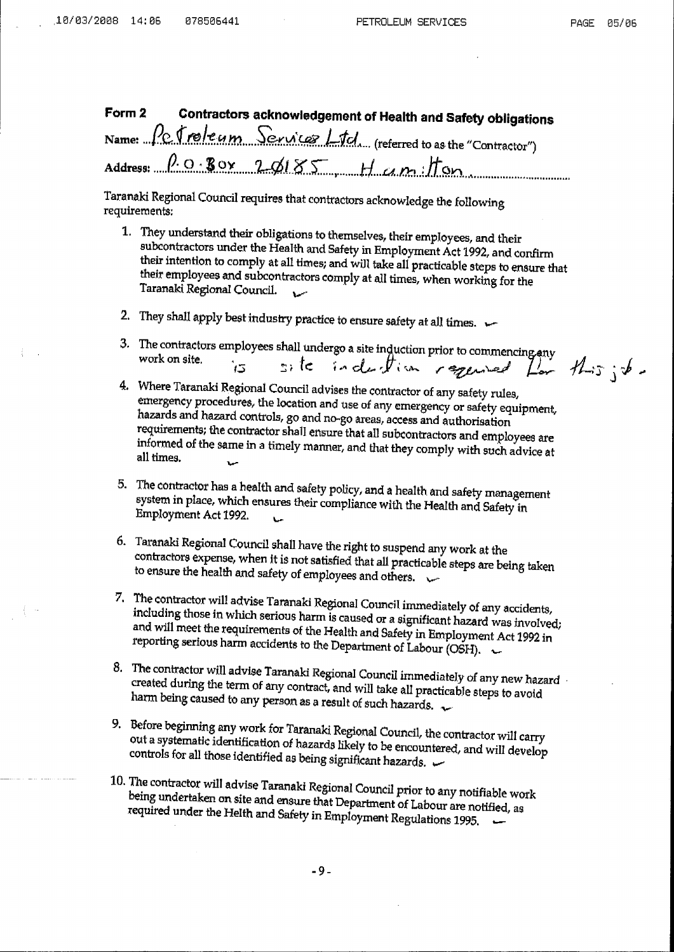Contractors acknowledgement of Health and Safety obligations Form 2 Petroleum Services Litcl (referred to as the "Contractor") Name: ...

 $\rho$  og Box 20185, Hamilton Address:

Taranaki Regional Council requires that contractors acknowledge the following requirements:

- 1. They understand their obligations to themselves, their employees, and their subcontractors under the Health and Safety in Employment Act 1992, and confirm their intention to comply at all times; and will take all practicable steps to ensure that their employees and subcontractors comply at all times, when working for the Taranaki Regional Council.
- 2. They shall apply best industry practice to ensure safety at all times.  $\leftarrow$
- 3. The contractors employees shall undergo a site induction prior to commencing any site induction required for this ; to work on site.
- 4. Where Taranaki Regional Council advises the contractor of any safety rules, emergency procedures, the location and use of any emergency or safety equipment, hazards and hazard controls, go and no-go areas, access and authorisation requirements; the contractor shall ensure that all subcontractors and employees are informed of the same in a timely manner, and that they comply with such advice at all times.  $\ddot{\phantom{a}}$
- 5. The contractor has a health and safety policy, and a health and safety management system in place, which ensures their compliance with the Health and Safety in Employment Act 1992.
- 6. Taranaki Regional Council shall have the right to suspend any work at the contractors expense, when it is not satisfied that all practicable steps are being taken to ensure the health and safety of employees and others.
- 7. The contractor will advise Taranaki Regional Council immediately of any accidents, including those in which serious harm is caused or a significant hazard was involved; and will meet the requirements of the Health and Safety in Employment Act 1992 in reporting serious harm accidents to the Department of Labour (OSH).  $\sim$
- 8. The contractor will advise Taranaki Regional Council immediately of any new hazard created during the term of any contract, and will take all practicable steps to avoid harm being caused to any person as a result of such hazards.
- 9. Before beginning any work for Taranaki Regional Council, the contractor will carry out a systematic identification of hazards likely to be encountered, and will develop controls for all those identified as being significant hazards.
- 10. The contractor will advise Taranaki Regional Council prior to any notifiable work being undertaken on site and ensure that Department of Labour are notified, as required under the Helth and Safety in Employment Regulations 1995.

 $-9-$